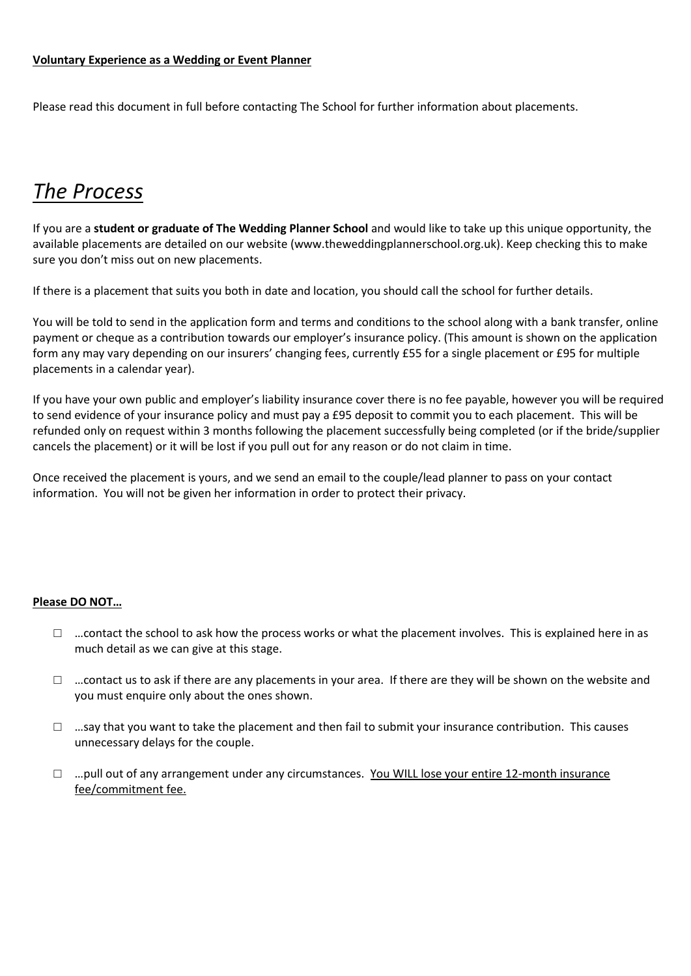Please read this document in full before contacting The School for further information about placements.

# *The Process*

If you are a **student or graduate of The Wedding Planner School** and would like to take up this unique opportunity, the available placements are detailed on our website (www.theweddingplannerschool.org.uk). Keep checking this to make sure you don't miss out on new placements.

If there is a placement that suits you both in date and location, you should call the school for further details.

You will be told to send in the application form and terms and conditions to the school along with a bank transfer, online payment or cheque as a contribution towards our employer's insurance policy. (This amount is shown on the application form any may vary depending on our insurers' changing fees, currently £55 for a single placement or £95 for multiple placements in a calendar year).

If you have your own public and employer's liability insurance cover there is no fee payable, however you will be required to send evidence of your insurance policy and must pay a £95 deposit to commit you to each placement. This will be refunded only on request within 3 months following the placement successfully being completed (or if the bride/supplier cancels the placement) or it will be lost if you pull out for any reason or do not claim in time.

Once received the placement is yours, and we send an email to the couple/lead planner to pass on your contact information. You will not be given her information in order to protect their privacy.

#### **Please DO NOT…**

- $\Box$  ... contact the school to ask how the process works or what the placement involves. This is explained here in as much detail as we can give at this stage.
- $\Box$  ... contact us to ask if there are any placements in your area. If there are they will be shown on the website and you must enquire only about the ones shown.
- $\Box$  …say that you want to take the placement and then fail to submit your insurance contribution. This causes unnecessary delays for the couple.
- $\Box$  ... pull out of any arrangement under any circumstances. You WILL lose your entire 12-month insurance fee/commitment fee.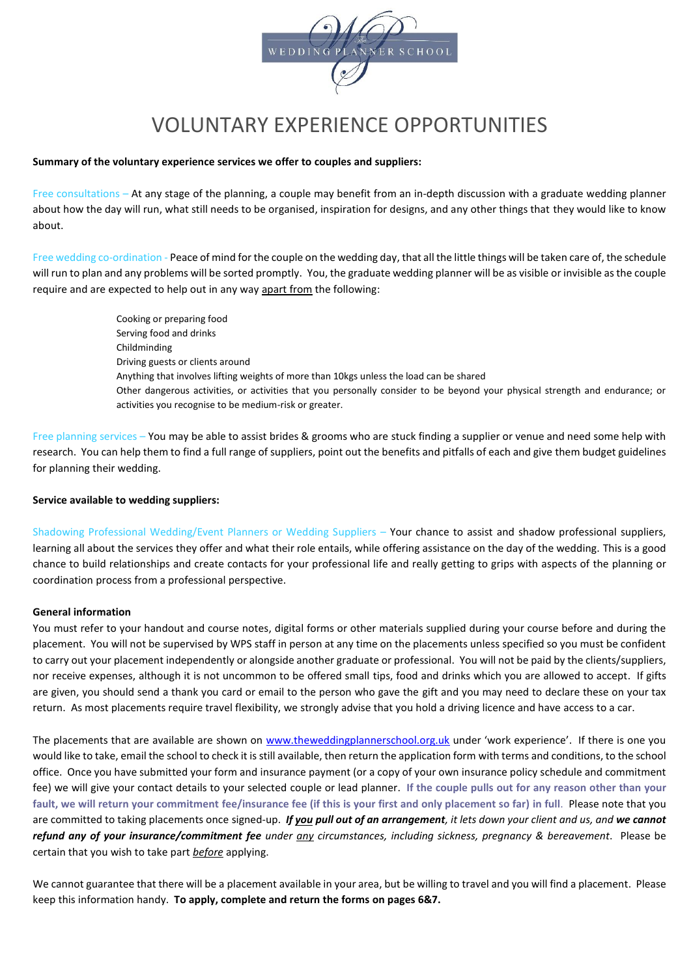

# VOLUNTARY EXPERIENCE OPPORTUNITIES

#### **Summary of the voluntary experience services we offer to couples and suppliers:**

Free consultations – At any stage of the planning, a couple may benefit from an in-depth discussion with a graduate wedding planner about how the day will run, what still needs to be organised, inspiration for designs, and any other things that they would like to know about.

Free wedding co-ordination - Peace of mind for the couple on the wedding day, that all the little things will be taken care of, the schedule will run to plan and any problems will be sorted promptly. You, the graduate wedding planner will be as visible or invisible as the couple require and are expected to help out in any way apart from the following:

> Cooking or preparing food Serving food and drinks Childminding Driving guests or clients around Anything that involves lifting weights of more than 10kgs unless the load can be shared Other dangerous activities, or activities that you personally consider to be beyond your physical strength and endurance; or activities you recognise to be medium-risk or greater.

Free planning services – You may be able to assist brides & grooms who are stuck finding a supplier or venue and need some help with research. You can help them to find a full range of suppliers, point out the benefits and pitfalls of each and give them budget guidelines for planning their wedding.

#### **Service available to wedding suppliers:**

Shadowing Professional Wedding/Event Planners or Wedding Suppliers – Your chance to assist and shadow professional suppliers, learning all about the services they offer and what their role entails, while offering assistance on the day of the wedding. This is a good chance to build relationships and create contacts for your professional life and really getting to grips with aspects of the planning or coordination process from a professional perspective.

#### **General information**

You must refer to your handout and course notes, digital forms or other materials supplied during your course before and during the placement. You will not be supervised by WPS staff in person at any time on the placements unless specified so you must be confident to carry out your placement independently or alongside another graduate or professional. You will not be paid by the clients/suppliers, nor receive expenses, although it is not uncommon to be offered small tips, food and drinks which you are allowed to accept. If gifts are given, you should send a thank you card or email to the person who gave the gift and you may need to declare these on your tax return. As most placements require travel flexibility, we strongly advise that you hold a driving licence and have access to a car.

The placements that are available are shown on [www.theweddingplannerschool.org.uk](http://www.theweddingplannerschool.org.uk/) under 'work experience'. If there is one you would like to take, email the school to check it is still available, then return the application form with terms and conditions, to the school office. Once you have submitted your form and insurance payment (or a copy of your own insurance policy schedule and commitment fee) we will give your contact details to your selected couple or lead planner. **If the couple pulls out for any reason other than your fault, we will return your commitment fee/insurance fee (if this is your first and only placement so far) in full**. Please note that you are committed to taking placements once signed-up. *If you pull out of an arrangement, it lets down your client and us, and we cannot refund any of your insurance/commitment fee under any circumstances, including sickness, pregnancy & bereavement*. Please be certain that you wish to take part *before* applying.

We cannot guarantee that there will be a placement available in your area, but be willing to travel and you will find a placement. Please keep this information handy. **To apply, complete and return the forms on pages 6&7.**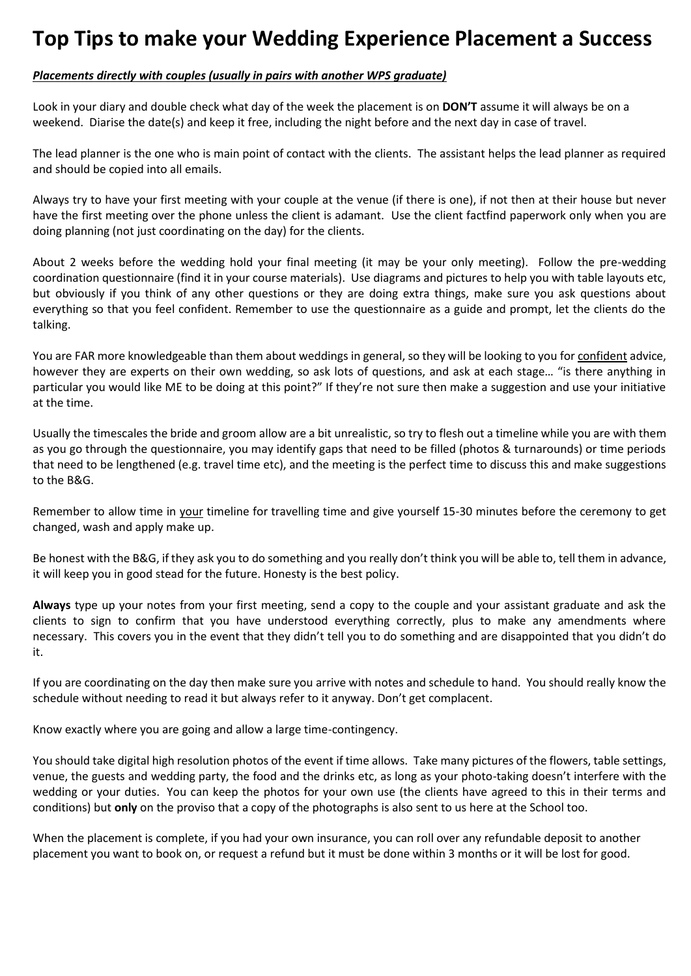# **Top Tips to make your Wedding Experience Placement a Success**

#### *Placements directly with couples (usually in pairs with another WPS graduate)*

Look in your diary and double check what day of the week the placement is on **DON'T** assume it will always be on a weekend. Diarise the date(s) and keep it free, including the night before and the next day in case of travel.

The lead planner is the one who is main point of contact with the clients. The assistant helps the lead planner as required and should be copied into all emails.

Always try to have your first meeting with your couple at the venue (if there is one), if not then at their house but never have the first meeting over the phone unless the client is adamant. Use the client factfind paperwork only when you are doing planning (not just coordinating on the day) for the clients.

About 2 weeks before the wedding hold your final meeting (it may be your only meeting). Follow the pre-wedding coordination questionnaire (find it in your course materials). Use diagrams and pictures to help you with table layouts etc, but obviously if you think of any other questions or they are doing extra things, make sure you ask questions about everything so that you feel confident. Remember to use the questionnaire as a guide and prompt, let the clients do the talking.

You are FAR more knowledgeable than them about weddings in general, so they will be looking to you for confident advice, however they are experts on their own wedding, so ask lots of questions, and ask at each stage… "is there anything in particular you would like ME to be doing at this point?" If they're not sure then make a suggestion and use your initiative at the time.

Usually the timescales the bride and groom allow are a bit unrealistic, so try to flesh out a timeline while you are with them as you go through the questionnaire, you may identify gaps that need to be filled (photos & turnarounds) or time periods that need to be lengthened (e.g. travel time etc), and the meeting is the perfect time to discuss this and make suggestions to the B&G.

Remember to allow time in your timeline for travelling time and give yourself 15-30 minutes before the ceremony to get changed, wash and apply make up.

Be honest with the B&G, if they ask you to do something and you really don't think you will be able to, tell them in advance, it will keep you in good stead for the future. Honesty is the best policy.

**Always** type up your notes from your first meeting, send a copy to the couple and your assistant graduate and ask the clients to sign to confirm that you have understood everything correctly, plus to make any amendments where necessary. This covers you in the event that they didn't tell you to do something and are disappointed that you didn't do it.

If you are coordinating on the day then make sure you arrive with notes and schedule to hand. You should really know the schedule without needing to read it but always refer to it anyway. Don't get complacent.

Know exactly where you are going and allow a large time-contingency.

You should take digital high resolution photos of the event if time allows. Take many pictures of the flowers, table settings, venue, the guests and wedding party, the food and the drinks etc, as long as your photo-taking doesn't interfere with the wedding or your duties. You can keep the photos for your own use (the clients have agreed to this in their terms and conditions) but **only** on the proviso that a copy of the photographs is also sent to us here at the School too.

When the placement is complete, if you had your own insurance, you can roll over any refundable deposit to another placement you want to book on, or request a refund but it must be done within 3 months or it will be lost for good.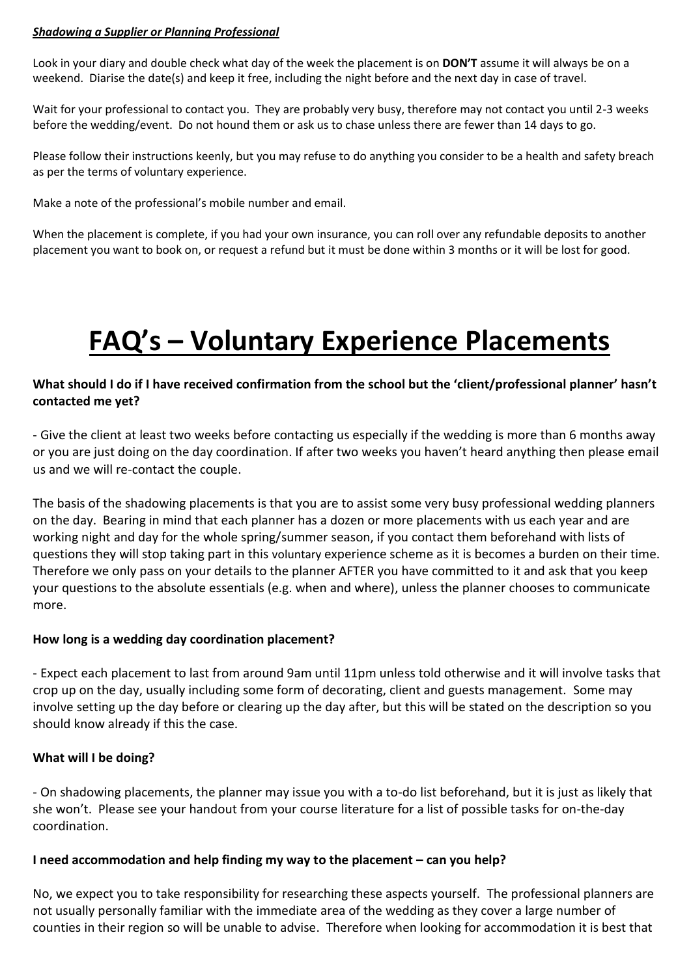#### *Shadowing a Supplier or Planning Professional*

Look in your diary and double check what day of the week the placement is on **DON'T** assume it will always be on a weekend. Diarise the date(s) and keep it free, including the night before and the next day in case of travel.

Wait for your professional to contact you. They are probably very busy, therefore may not contact you until 2-3 weeks before the wedding/event. Do not hound them or ask us to chase unless there are fewer than 14 days to go.

Please follow their instructions keenly, but you may refuse to do anything you consider to be a health and safety breach as per the terms of voluntary experience.

Make a note of the professional's mobile number and email.

When the placement is complete, if you had your own insurance, you can roll over any refundable deposits to another placement you want to book on, or request a refund but it must be done within 3 months or it will be lost for good.

# **FAQ's – Voluntary Experience Placements**

## **What should I do if I have received confirmation from the school but the 'client/professional planner' hasn't contacted me yet?**

- Give the client at least two weeks before contacting us especially if the wedding is more than 6 months away or you are just doing on the day coordination. If after two weeks you haven't heard anything then please email us and we will re-contact the couple.

The basis of the shadowing placements is that you are to assist some very busy professional wedding planners on the day. Bearing in mind that each planner has a dozen or more placements with us each year and are working night and day for the whole spring/summer season, if you contact them beforehand with lists of questions they will stop taking part in this voluntary experience scheme as it is becomes a burden on their time. Therefore we only pass on your details to the planner AFTER you have committed to it and ask that you keep your questions to the absolute essentials (e.g. when and where), unless the planner chooses to communicate more.

#### **How long is a wedding day coordination placement?**

- Expect each placement to last from around 9am until 11pm unless told otherwise and it will involve tasks that crop up on the day, usually including some form of decorating, client and guests management. Some may involve setting up the day before or clearing up the day after, but this will be stated on the description so you should know already if this the case.

#### **What will I be doing?**

- On shadowing placements, the planner may issue you with a to-do list beforehand, but it is just as likely that she won't. Please see your handout from your course literature for a list of possible tasks for on-the-day coordination.

#### **I need accommodation and help finding my way to the placement – can you help?**

No, we expect you to take responsibility for researching these aspects yourself. The professional planners are not usually personally familiar with the immediate area of the wedding as they cover a large number of counties in their region so will be unable to advise. Therefore when looking for accommodation it is best that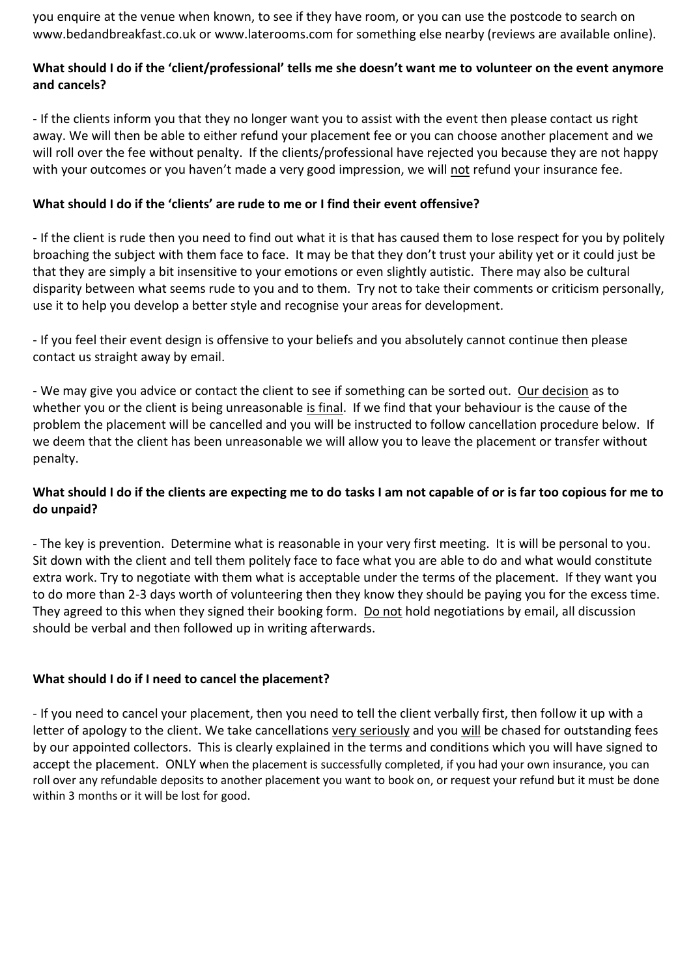you enquire at the venue when known, to see if they have room, or you can use the postcode to search on www.bedandbreakfast.co.uk or www.laterooms.com for something else nearby (reviews are available online).

## **What should I do if the 'client/professional' tells me she doesn't want me to volunteer on the event anymore and cancels?**

- If the clients inform you that they no longer want you to assist with the event then please contact us right away. We will then be able to either refund your placement fee or you can choose another placement and we will roll over the fee without penalty. If the clients/professional have rejected you because they are not happy with your outcomes or you haven't made a very good impression, we will not refund your insurance fee.

## **What should I do if the 'clients' are rude to me or I find their event offensive?**

- If the client is rude then you need to find out what it is that has caused them to lose respect for you by politely broaching the subject with them face to face. It may be that they don't trust your ability yet or it could just be that they are simply a bit insensitive to your emotions or even slightly autistic. There may also be cultural disparity between what seems rude to you and to them. Try not to take their comments or criticism personally, use it to help you develop a better style and recognise your areas for development.

- If you feel their event design is offensive to your beliefs and you absolutely cannot continue then please contact us straight away by email.

- We may give you advice or contact the client to see if something can be sorted out. Our decision as to whether you or the client is being unreasonable is final. If we find that your behaviour is the cause of the problem the placement will be cancelled and you will be instructed to follow cancellation procedure below. If we deem that the client has been unreasonable we will allow you to leave the placement or transfer without penalty.

## **What should I do if the clients are expecting me to do tasks I am not capable of or is far too copious for me to do unpaid?**

- The key is prevention. Determine what is reasonable in your very first meeting. It is will be personal to you. Sit down with the client and tell them politely face to face what you are able to do and what would constitute extra work. Try to negotiate with them what is acceptable under the terms of the placement. If they want you to do more than 2-3 days worth of volunteering then they know they should be paying you for the excess time. They agreed to this when they signed their booking form. Do not hold negotiations by email, all discussion should be verbal and then followed up in writing afterwards.

## **What should I do if I need to cancel the placement?**

- If you need to cancel your placement, then you need to tell the client verbally first, then follow it up with a letter of apology to the client. We take cancellations very seriously and you will be chased for outstanding fees by our appointed collectors. This is clearly explained in the terms and conditions which you will have signed to accept the placement. ONLY when the placement is successfully completed, if you had your own insurance, you can roll over any refundable deposits to another placement you want to book on, or request your refund but it must be done within 3 months or it will be lost for good.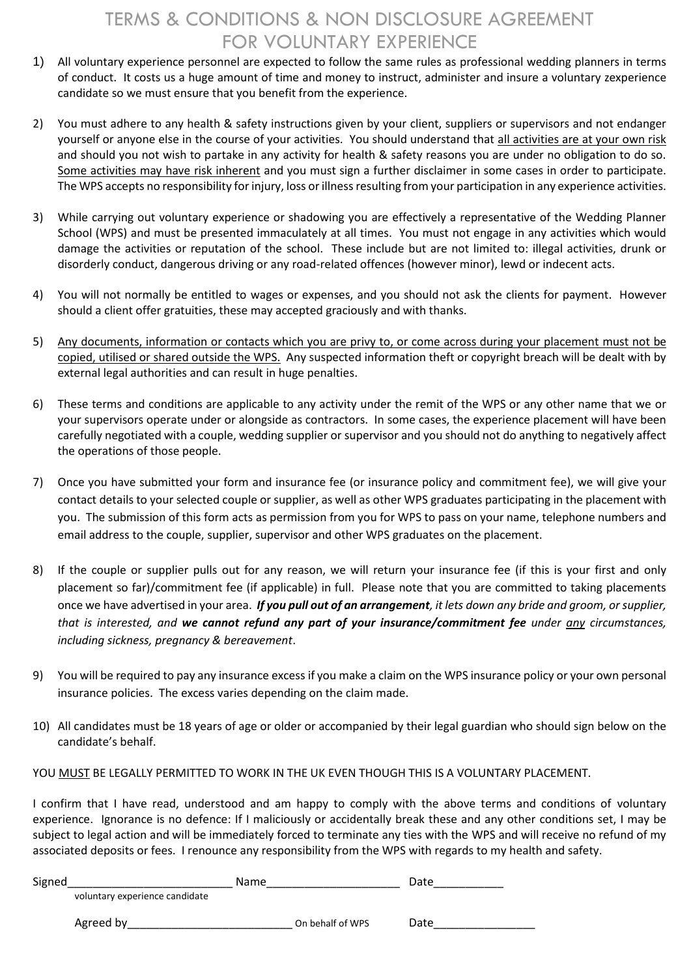## TERMS & CONDITIONS & NON DISCLOSURE AGREEMENT FOR VOLUNTARY EXPERIENCE

- 1) All voluntary experience personnel are expected to follow the same rules as professional wedding planners in terms of conduct. It costs us a huge amount of time and money to instruct, administer and insure a voluntary zexperience candidate so we must ensure that you benefit from the experience.
- 2) You must adhere to any health & safety instructions given by your client, suppliers or supervisors and not endanger yourself or anyone else in the course of your activities. You should understand that all activities are at your own risk and should you not wish to partake in any activity for health & safety reasons you are under no obligation to do so. Some activities may have risk inherent and you must sign a further disclaimer in some cases in order to participate. The WPS accepts no responsibility for injury, loss or illness resulting from your participation in any experience activities.
- 3) While carrying out voluntary experience or shadowing you are effectively a representative of the Wedding Planner School (WPS) and must be presented immaculately at all times. You must not engage in any activities which would damage the activities or reputation of the school. These include but are not limited to: illegal activities, drunk or disorderly conduct, dangerous driving or any road-related offences (however minor), lewd or indecent acts.
- 4) You will not normally be entitled to wages or expenses, and you should not ask the clients for payment. However should a client offer gratuities, these may accepted graciously and with thanks.
- 5) Any documents, information or contacts which you are privy to, or come across during your placement must not be copied, utilised or shared outside the WPS. Any suspected information theft or copyright breach will be dealt with by external legal authorities and can result in huge penalties.
- 6) These terms and conditions are applicable to any activity under the remit of the WPS or any other name that we or your supervisors operate under or alongside as contractors. In some cases, the experience placement will have been carefully negotiated with a couple, wedding supplier or supervisor and you should not do anything to negatively affect the operations of those people.
- 7) Once you have submitted your form and insurance fee (or insurance policy and commitment fee), we will give your contact details to your selected couple or supplier, as well as other WPS graduates participating in the placement with you. The submission of this form acts as permission from you for WPS to pass on your name, telephone numbers and email address to the couple, supplier, supervisor and other WPS graduates on the placement.
- 8) If the couple or supplier pulls out for any reason, we will return your insurance fee (if this is your first and only placement so far)/commitment fee (if applicable) in full. Please note that you are committed to taking placements once we have advertised in your area. *If you pull out of an arrangement, it lets down any bride and groom, or supplier, that is interested, and we cannot refund any part of your insurance/commitment fee under any circumstances, including sickness, pregnancy & bereavement*.
- 9) You will be required to pay any insurance excess if you make a claim on the WPS insurance policy or your own personal insurance policies. The excess varies depending on the claim made.
- 10) All candidates must be 18 years of age or older or accompanied by their legal guardian who should sign below on the candidate's behalf.

YOU MUST BE LEGALLY PERMITTED TO WORK IN THE UK EVEN THOUGH THIS IS A VOLUNTARY PLACEMENT.

I confirm that I have read, understood and am happy to comply with the above terms and conditions of voluntary experience. Ignorance is no defence: If I maliciously or accidentally break these and any other conditions set, I may be subject to legal action and will be immediately forced to terminate any ties with the WPS and will receive no refund of my associated deposits or fees. I renounce any responsibility from the WPS with regards to my health and safety.

| Signed |                                | <b>Name</b> |                  | Date |
|--------|--------------------------------|-------------|------------------|------|
|        | voluntary experience candidate |             |                  |      |
|        | Agreed by                      |             | On behalf of WPS | Date |